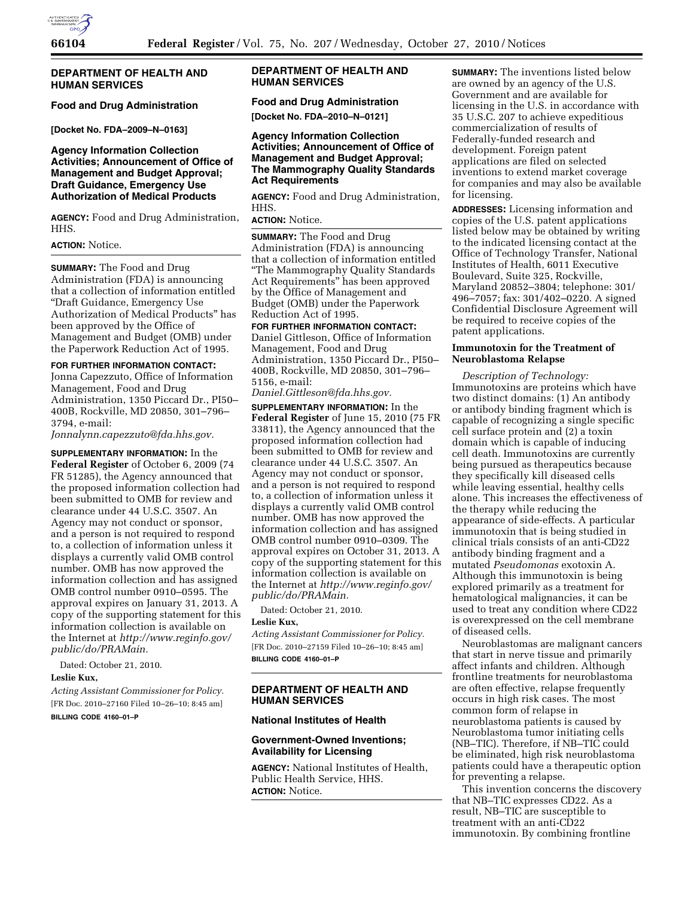

## **DEPARTMENT OF HEALTH AND HUMAN SERVICES**

#### **Food and Drug Administration**

**[Docket No. FDA–2009–N–0163]** 

# **Agency Information Collection Activities; Announcement of Office of Management and Budget Approval; Draft Guidance, Emergency Use Authorization of Medical Products**

**AGENCY:** Food and Drug Administration, HHS.

# **ACTION:** Notice.

**SUMMARY:** The Food and Drug Administration (FDA) is announcing that a collection of information entitled ''Draft Guidance, Emergency Use Authorization of Medical Products'' has been approved by the Office of Management and Budget (OMB) under the Paperwork Reduction Act of 1995.

**FOR FURTHER INFORMATION CONTACT:**  Jonna Capezzuto, Office of Information Management, Food and Drug Administration, 1350 Piccard Dr., PI50– 400B, Rockville, MD 20850, 301–796– 3794, e-mail:

*[Jonnalynn.capezzuto@fda.hhs.gov.](mailto:Jonnalynn.capezzuto@fda.hhs.gov)* 

**SUPPLEMENTARY INFORMATION:** In the **Federal Register** of October 6, 2009 (74 FR 51285), the Agency announced that the proposed information collection had been submitted to OMB for review and clearance under 44 U.S.C. 3507. An Agency may not conduct or sponsor, and a person is not required to respond to, a collection of information unless it displays a currently valid OMB control number. OMB has now approved the information collection and has assigned OMB control number 0910–0595. The approval expires on January 31, 2013. A copy of the supporting statement for this information collection is available on the Internet at *[http://www.reginfo.gov/](http://www.reginfo.gov/public/do/PRAMain)  [public/do/PRAMain.](http://www.reginfo.gov/public/do/PRAMain)* 

Dated: October 21, 2010.

# **Leslie Kux,**

*Acting Assistant Commissioner for Policy.*  [FR Doc. 2010–27160 Filed 10–26–10; 8:45 am] **BILLING CODE 4160–01–P** 

# **DEPARTMENT OF HEALTH AND HUMAN SERVICES**

# **Food and Drug Administration**

**[Docket No. FDA–2010–N–0121]** 

# **Agency Information Collection Activities; Announcement of Office of Management and Budget Approval; The Mammography Quality Standards Act Requirements**

**AGENCY:** Food and Drug Administration, HHS.

**ACTION:** Notice.

**SUMMARY:** The Food and Drug Administration (FDA) is announcing that a collection of information entitled ''The Mammography Quality Standards Act Requirements'' has been approved by the Office of Management and Budget (OMB) under the Paperwork Reduction Act of 1995.

**FOR FURTHER INFORMATION CONTACT:**  Daniel Gittleson, Office of Information Management, Food and Drug Administration, 1350 Piccard Dr., PI50– 400B, Rockville, MD 20850, 301–796– 5156, e-mail:

*[Daniel.Gittleson@fda.hhs.gov.](mailto:Daniel.Gittleson@fda.hhs.gov)* 

**SUPPLEMENTARY INFORMATION:** In the **Federal Register** of June 15, 2010 (75 FR 33811), the Agency announced that the proposed information collection had been submitted to OMB for review and clearance under 44 U.S.C. 3507. An Agency may not conduct or sponsor, and a person is not required to respond to, a collection of information unless it displays a currently valid OMB control number. OMB has now approved the information collection and has assigned OMB control number 0910–0309. The approval expires on October 31, 2013. A copy of the supporting statement for this information collection is available on the Internet at *[http://www.reginfo.gov/](http://www.reginfo.gov/public/do/PRAMain)  [public/do/PRAMain.](http://www.reginfo.gov/public/do/PRAMain)* 

Dated: October 21, 2010.

# **Leslie Kux,**

*Acting Assistant Commissioner for Policy.*  [FR Doc. 2010–27159 Filed 10–26–10; 8:45 am] **BILLING CODE 4160–01–P** 

# **DEPARTMENT OF HEALTH AND HUMAN SERVICES**

#### **National Institutes of Health**

## **Government-Owned Inventions; Availability for Licensing**

**AGENCY:** National Institutes of Health, Public Health Service, HHS. **ACTION:** Notice.

**SUMMARY:** The inventions listed below are owned by an agency of the U.S. Government and are available for licensing in the U.S. in accordance with 35 U.S.C. 207 to achieve expeditious commercialization of results of Federally-funded research and development. Foreign patent applications are filed on selected inventions to extend market coverage for companies and may also be available for licensing.

**ADDRESSES:** Licensing information and copies of the U.S. patent applications listed below may be obtained by writing to the indicated licensing contact at the Office of Technology Transfer, National Institutes of Health, 6011 Executive Boulevard, Suite 325, Rockville, Maryland 20852–3804; telephone: 301/ 496–7057; fax: 301/402–0220. A signed Confidential Disclosure Agreement will be required to receive copies of the patent applications.

#### **Immunotoxin for the Treatment of Neuroblastoma Relapse**

*Description of Technology:*  Immunotoxins are proteins which have two distinct domains: (1) An antibody or antibody binding fragment which is capable of recognizing a single specific cell surface protein and (2) a toxin domain which is capable of inducing cell death. Immunotoxins are currently being pursued as therapeutics because they specifically kill diseased cells while leaving essential, healthy cells alone. This increases the effectiveness of the therapy while reducing the appearance of side-effects. A particular immunotoxin that is being studied in clinical trials consists of an anti-CD22 antibody binding fragment and a mutated *Pseudomonas* exotoxin A. Although this immunotoxin is being explored primarily as a treatment for hematological malignancies, it can be used to treat any condition where CD22 is overexpressed on the cell membrane of diseased cells.

Neuroblastomas are malignant cancers that start in nerve tissue and primarily affect infants and children. Although frontline treatments for neuroblastoma are often effective, relapse frequently occurs in high risk cases. The most common form of relapse in neuroblastoma patients is caused by Neuroblastoma tumor initiating cells (NB–TIC). Therefore, if NB–TIC could be eliminated, high risk neuroblastoma patients could have a therapeutic option for preventing a relapse.

This invention concerns the discovery that NB–TIC expresses CD22. As a result, NB–TIC are susceptible to treatment with an anti-CD22 immunotoxin. By combining frontline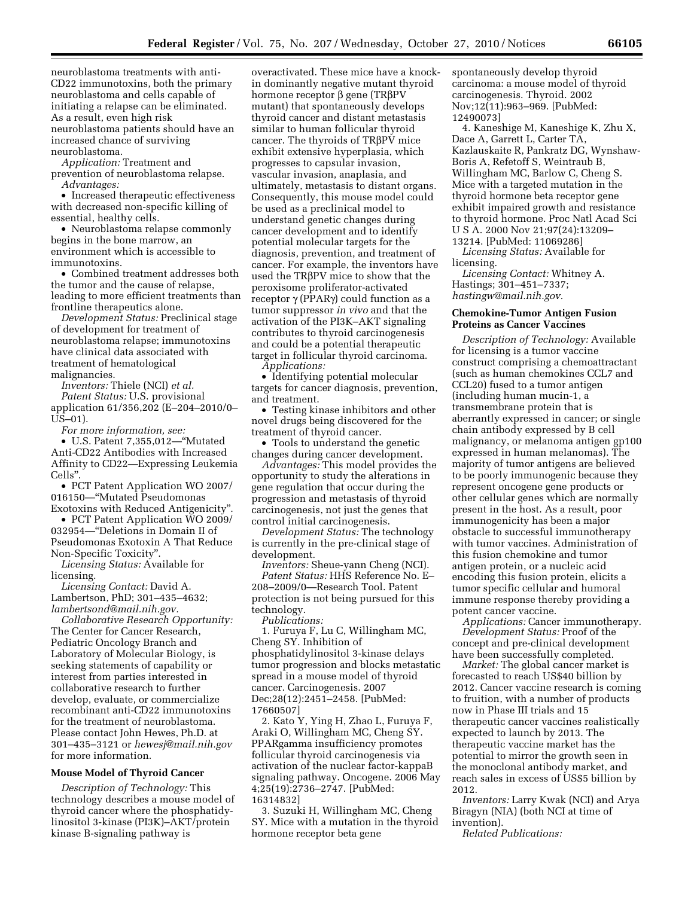neuroblastoma treatments with anti-CD22 immunotoxins, both the primary neuroblastoma and cells capable of initiating a relapse can be eliminated. As a result, even high risk neuroblastoma patients should have an increased chance of surviving neuroblastoma.

*Application:* Treatment and prevention of neuroblastoma relapse. *Advantages:* 

• Increased therapeutic effectiveness with decreased non-specific killing of essential, healthy cells.

• Neuroblastoma relapse commonly begins in the bone marrow, an environment which is accessible to immunotoxins.

• Combined treatment addresses both the tumor and the cause of relapse, leading to more efficient treatments than frontline therapeutics alone.

*Development Status:* Preclinical stage of development for treatment of neuroblastoma relapse; immunotoxins have clinical data associated with treatment of hematological malignancies.

*Inventors:* Thiele (NCI) *et al.* 

*Patent Status:* U.S. provisional application 61/356,202 (E–204–2010/0– US–01).

*For more information, see:* 

• U.S. Patent 7,355,012—''Mutated Anti-CD22 Antibodies with Increased Affinity to CD22—Expressing Leukemia Cells''.

• PCT Patent Application WO 2007/ 016150—''Mutated Pseudomonas Exotoxins with Reduced Antigenicity''.

• PCT Patent Application WO 2009/ 032954—''Deletions in Domain II of Pseudomonas Exotoxin A That Reduce Non-Specific Toxicity''.

*Licensing Status:* Available for licensing.

*Licensing Contact:* David A. Lambertson, PhD; 301–435–4632; *[lambertsond@mail.nih.gov.](mailto:lambertsond@mail.nih.gov)* 

*Collaborative Research Opportunity:*  The Center for Cancer Research, Pediatric Oncology Branch and Laboratory of Molecular Biology, is seeking statements of capability or interest from parties interested in collaborative research to further develop, evaluate, or commercialize recombinant anti-CD22 immunotoxins for the treatment of neuroblastoma. Please contact John Hewes, Ph.D. at 301–435–3121 or *[hewesj@mail.nih.gov](mailto:hewesj@mail.nih.gov)*  for more information.

#### **Mouse Model of Thyroid Cancer**

*Description of Technology:* This technology describes a mouse model of thyroid cancer where the phosphatidylinositol 3-kinase (PI3K)–AKT/protein kinase B-signaling pathway is

overactivated. These mice have a knockin dominantly negative mutant thyroid hormone receptor  $\beta$  gene (TR $\beta$ PV mutant) that spontaneously develops thyroid cancer and distant metastasis similar to human follicular thyroid cancer. The thyroids of TRbPV mice exhibit extensive hyperplasia, which progresses to capsular invasion, vascular invasion, anaplasia, and ultimately, metastasis to distant organs. Consequently, this mouse model could be used as a preclinical model to understand genetic changes during cancer development and to identify potential molecular targets for the diagnosis, prevention, and treatment of cancer. For example, the inventors have used the TRβPV mice to show that the peroxisome proliferator-activated receptor  $\gamma$  (PPAR $\gamma$ ) could function as a tumor suppressor *in vivo* and that the activation of the PI3K–AKT signaling contributes to thyroid carcinogenesis and could be a potential therapeutic target in follicular thyroid carcinoma. *Applications:* 

• Identifying potential molecular targets for cancer diagnosis, prevention, and treatment.

• Testing kinase inhibitors and other novel drugs being discovered for the treatment of thyroid cancer.

• Tools to understand the genetic changes during cancer development.

*Advantages:* This model provides the opportunity to study the alterations in gene regulation that occur during the progression and metastasis of thyroid carcinogenesis, not just the genes that control initial carcinogenesis.

*Development Status:* The technology is currently in the pre-clinical stage of development.

*Inventors:* Sheue-yann Cheng (NCI). *Patent Status:* HHS Reference No. E– 208–2009/0—Research Tool. Patent protection is not being pursued for this technology.

*Publications:* 

1. Furuya F, Lu C, Willingham MC, Cheng SY. Inhibition of phosphatidylinositol 3-kinase delays tumor progression and blocks metastatic spread in a mouse model of thyroid cancer. Carcinogenesis. 2007 Dec;28(12):2451–2458. [PubMed: 17660507]

2. Kato Y, Ying H, Zhao L, Furuya F, Araki O, Willingham MC, Cheng SY. PPARgamma insufficiency promotes follicular thyroid carcinogenesis via activation of the nuclear factor-kappaB signaling pathway. Oncogene. 2006 May 4;25(19):2736–2747. [PubMed: 16314832]

3. Suzuki H, Willingham MC, Cheng SY. Mice with a mutation in the thyroid hormone receptor beta gene

spontaneously develop thyroid carcinoma: a mouse model of thyroid carcinogenesis. Thyroid. 2002 Nov;12(11):963–969. [PubMed: 12490073]

4. Kaneshige M, Kaneshige K, Zhu X, Dace A, Garrett L, Carter TA, Kazlauskaite R, Pankratz DG, Wynshaw-Boris A, Refetoff S, Weintraub B, Willingham MC, Barlow C, Cheng S. Mice with a targeted mutation in the thyroid hormone beta receptor gene exhibit impaired growth and resistance to thyroid hormone. Proc Natl Acad Sci U S A. 2000 Nov 21;97(24):13209– 13214. [PubMed: 11069286]

*Licensing Status:* Available for licensing.

*Licensing Contact:* Whitney A. Hastings; 301–451–7337; *[hastingw@mail.nih.gov.](mailto:hastingw@mail.nih.gov)* 

#### **Chemokine-Tumor Antigen Fusion Proteins as Cancer Vaccines**

*Description of Technology:* Available for licensing is a tumor vaccine construct comprising a chemoattractant (such as human chemokines CCL7 and CCL20) fused to a tumor antigen (including human mucin-1, a transmembrane protein that is aberrantly expressed in cancer; or single chain antibody expressed by B cell malignancy, or melanoma antigen gp100 expressed in human melanomas). The majority of tumor antigens are believed to be poorly immunogenic because they represent oncogene gene products or other cellular genes which are normally present in the host. As a result, poor immunogenicity has been a major obstacle to successful immunotherapy with tumor vaccines. Administration of this fusion chemokine and tumor antigen protein, or a nucleic acid encoding this fusion protein, elicits a tumor specific cellular and humoral immune response thereby providing a potent cancer vaccine.

*Applications:* Cancer immunotherapy. *Development Status:* Proof of the concept and pre-clinical development have been successfully completed.

*Market:* The global cancer market is forecasted to reach US\$40 billion by 2012. Cancer vaccine research is coming to fruition, with a number of products now in Phase III trials and 15 therapeutic cancer vaccines realistically expected to launch by 2013. The therapeutic vaccine market has the potential to mirror the growth seen in the monoclonal antibody market, and reach sales in excess of US\$5 billion by 2012.

*Inventors:* Larry Kwak (NCI) and Arya Biragyn (NIA) (both NCI at time of invention).

*Related Publications:*